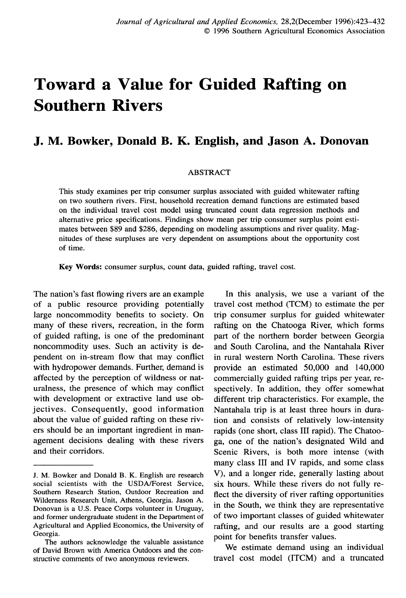# **Toward a Value for Guided Rafting on Southern Rivers**

# J. M. Bowker, Donald B. K. English, and Jason A. Donovan

#### **ABSTRACT**

This study examines per trip consumer surplus associated with guided whitewater rafting on two southern rivers. First, household recreation demand functions are estimated based on the individual travel cost model using truncated count data regression methods and alternative price specifications. Findings show mean per trip consumer surplus point estimates between \$89 and \$286, depending on modeling assumptions and river quality. Magnitudes of these surpluses are very dependent on assumptions about the opportunity cost of time.

**Key Words:** consumer surplus, count data, guided rafting, travel cost.

The nation's fast flowing rivers are an example of a public resource providing potentially large noncommodity benefits to society. On many of these rivers, recreation, in the form of guided rafting, is one of the predominant noncommodity uses. Such an activity is dependent on in-stream flow that may conflict with hydropower demands. Further, demand is affected by the perception of wildness or naturalness, the presence of which may conflict with development or extractive land use objectives. Consequently, good information about the value of guided rafting on these rivers should be an important ingredient in management decisions dealing with these rivers and their corridors.

In this analysis, we use a variant of the travel cost method (TCM) to estimate the per trip consumer surplus for guided whitewater rafting on the Chatooga River, which forms part of the northern border between Georgia and South Carolina, and the Nantahala River in rural western North Carolina. These rivers provide an estimated 50,000 and 140,000 commercially guided rafting trips per year, respectively. In addition, they offer somewhat different trip characteristics. For example, the Nantahala trip is at least three hours in duration and consists of relatively low-intensity rapids (one short, class III rapid). The Chatooga, one of the nation's designated Wild and Scenic Rivers, is both more intense (with many class III and IV rapids, and some class V), and a longer ride, generally lasting about six hours. While these rivers do not fully reflect the diversity of river rafting opportunities in the South, we think they are representative of two important classes of guided whitewater rafting, and our results are a good starting point for benefits transfer values.

We estimate demand using an individual travel cost model (ITCM) and a truncated

J. M. Bowker and Donald B. K. English are research social scientists with the USDA/Forest Service, Southern Research Station, Outdoor Recreation and Wilderness Research Unit, Athens, Georgia. Jason A. Donovan is a U.S. Peace Corps volunteer in Uruguay, and former undergraduate student in the Department of Agricultural and Applied Economics, the University of Georgia.

The authors acknowledge the valuable assistance of David Brown with America Outdoors and the constructive comments of two anonymous reviewers.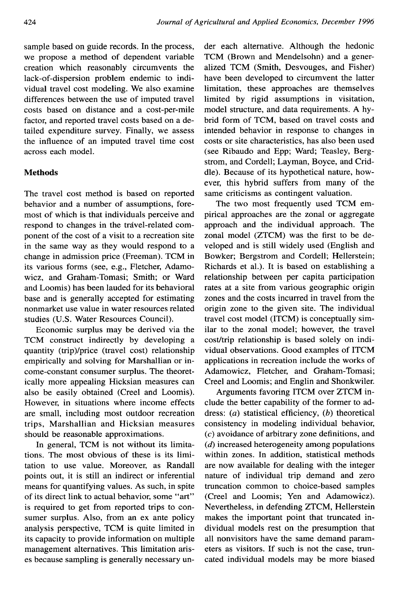sample based on guide records. In the process, we propose a method of dependent variable creation which reasonably circumvents the lack-of-dispersion problem endemic to individual travel cost modeling. We also examine differences between the use of imputed travel costs based on distance and a cost-per-mile factor, and reported travel costs based on a detailed expenditure survey. Finally, we assess the influence of an imputed travel time cost across each model.

## **Methods**

The travel cost method is based on reported behavior and a number of assumptions, foremost of which is that individuals perceive and respond to changes in the trdvel-related component of the cost of a visit to a recreation site in the same way as they would respond to a change in admission price (Freeman). TCM in its various forms (see, e.g., Fletcher, Adamowicz, and Graham-Tomasi; Smith; or Ward and Loomis) has been lauded for its behavioral base and is generally accepted for estimating nonmarket use value in water resources related studies (U.S. Water Resources Council).

Economic surplus may be derived via the TCM construct indirectly by developing a quantity (trip)/price (travel cost) relationship empirically and solving for Marshallian or income-constant consumer surplus. The theoretically more appealing Hicksian measures can also be easily obtained (Creel and Loomis). However, in situations where income effects are small, including most outdoor recreation trips, Marshallian and Hicksian measures should be reasonable approximations.

In general, TCM is not without its limitations. The most obvious of these is its limitation to use value. Moreover, as Randall points out, it is still an indirect or inferential means for quantifying values. As such, in spite of its direct link to actual behavior, some "art" is required to get from reported trips to consumer surplus. Also, from an ex ante policy analysis perspective, TCM is quite limited in its capacity to provide information on multiple management alternatives. This limitation arises because sampling is generally necessary under each alternative. Although the hedonic TCM (Brown and Mendelsohn) and a generalized TCM (Smith, Desvouges, and Fisher) have been developed to circumvent the latter limitation, these approaches are themselves limited by rigid assumptions in visitation, model structure, and data requirements. A hybrid form of TCM, based on travel costs and intended behavior in response to changes in costs or site characteristics, has also been used (see Ribaudo and Epp; Ward; Teasley, Bergstrom, and Cordell; Layman, Boyce, and Criddie). Because of its hypothetical nature, however, this hybrid suffers from many of the same criticisms as contingent valuation.

The two most frequently used TCM empirical approaches are the zonal or aggregate approach and the individual approach. The zonal model (ZTCM) was the first to be developed and is still widely used (English and Bowker; Bergstrom and Cordell; Hellerstein; Richards et al.). It is based on establishing a relationship between per capita participation rates at a site from various geographic origin zones and the costs incurred in travel from the origin zone to the given site. The individual travel cost model (ITCM) is conceptually similar to the zonal model; however, the travel cost/trip relationship is based solely on individual observations. Good examples of ITCM applications in recreation include the works of Adamowicz, Fletcher, and Graham-Tomasi; Creel and Loomis; and Englin and Shonkwiler.

Arguments favoring ITCM over ZTCM include the better capability of the former to address:  $(a)$  statistical efficiency,  $(b)$  theoretical consistency in modeling individual behavior, (c) avoidance of arbitrary zone definitions, and (d) increased heterogeneity among populations within zones. In addition, statistical methods are now available for dealing with the integer nature of individual trip demand and zero truncation common to choice-based samples (Creel and Loomis; Yen and Adamowicz). Nevertheless, in defending ZTCM, Hellerstein makes the important point that truncated individual models rest on the presumption that all nonvisitors have the same demand parameters as visitors. If such is not the case, truncated individual models may be more biased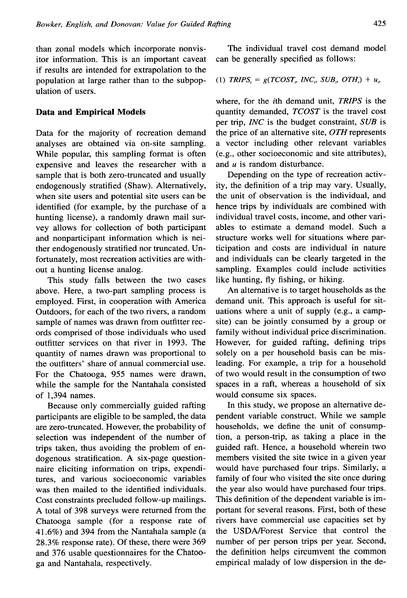than zonal models which incorporate nonvisitor information. This is an important caveat if results are intended for extrapolation to the population at large rather than to the subpopulation of users.

### **Data and Empirical Models**

Data for the majority of recreation demand analyses are obtained via on-site sampling. While popular, this sampling format is often expensive and leaves the researcher with a sample that is both zero-truncated and usually endogenously stratified (Shaw). Alternatively, when site users and potential site users can be identified (for example, by the purchase of a hunting license), a randomly drawn mail survey allows for collection of both participant and nonparticipant information which is neither endogenously stratified nor truncated. Unfortunately, most recreation activities are without a hunting license analog.

This study falls between the two cases above. Here, a two-part sampling process is employed. First, in cooperation with America Outdoors, for each of the two rivers, a random sample of names was drawn from outfitter records comprised of those individuals who used outfitter services on that river in 1993. The quantity of names drawn was proportional to the outfitters' share of annual commercial use. For the Chatooga, 955 names were drawn, while the sample for the Nantahala consisted of 1,394 names.

Because only commercially guided rafting participants are eligible to be sampled, the data are zero-truncated. However, the probability of selection was independent of the number of trips taken, thus avoiding the problem of endogenous stratification. A six-page questionnaire eliciting information on trips, expenditures, and various socioeconomic variables was then mailed to the identified individuals. Cost constraints precluded follow-up mailings. A total of 398 surveys were returned from the Chatooga sample (for a response rate of 41.6%) and 394 from the Nantahala sample (a 28.3% response rate). Of these, there were 369 and 376 usable questionnaires for the Chatooga and Nantahala, respectively.

The individual travel cost demand model can be generally specified as follows:

$$
(1) \text{ TRIPS}_{i} = g(TCOST_{v} \text{ INC}_{v} \text{ SUB}_{v} \text{OTH}_{i}) + u_{v}
$$

where, for the ith demand unit, *TRIPS* is the quantity demanded, *TCOST* is the travel cost per trip, *INC* is the budget constraint, *SUB* is the price of an alternative site, *OTH* represents a vector including other relevant variables (e.g., other socioeconomic and site attributes), and  $u$  is random disturbance.

Depending on the type of recreation activity, the definition of a trip may vary. Usually, the unit of observation is the individual, and hence trips by individuals are combined with individual travel costs, income, and other variables to estimate a demand model. Such a structure works well for situations where participation and costs are individual in nature and individuals can be clearly targeted in the sampling. Examples could include activities like hunting, fly fishing, or hiking.

An alternative is to target households as the demand unit. This approach is useful for situations where a unit of supply (e.g., a campsite) can be jointly consumed by a group or family without individual price discrimination. However, for guided rafting, defining trips solely on a per household basis can be misleading. For example, a trip for a household of two would result in the consumption of two spaces in a raft, whereas a household of six would consume six spaces.

In this study, we propose an alternative dependent variable construct. While we sample households, we define the unit of consumption, a person-trip, as taking a place in the guided raft. Hence, a household wherein two members visited the site twice in a given year would have purchased four trips. Similarly, a family of four who visited the site once during the year also would have purchased four trips, This definition of the dependent variable is important for several reasons. First, both of these rivers have commercial use capacities set by the USDA/Forest Service that control the number of per person trips per year. Second, the definition helps circumvent the common empirical malady of low dispersion in the de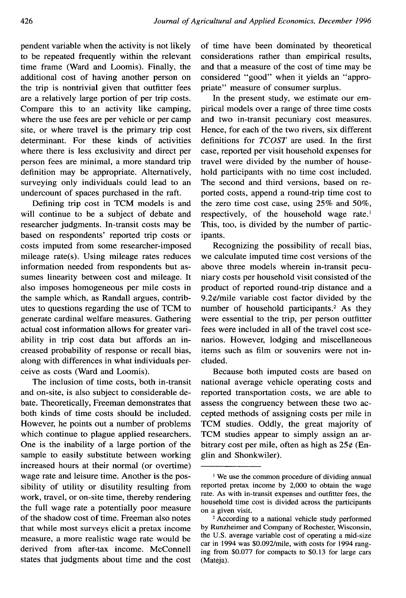pendent variable when the activity is not likely to be repeated frequently within the relevant time frame (Ward and Loomis). Finally, the additional cost of having another person on the trip is nontrivial given that outfitter fees are a relatively large portion of per trip costs. Compare this to an activity like camping, where the use fees are per vehicle or per camp site, or where travel is the primary trip cost determinant. For these kinds of activities where there is less exclusivity and direct per person fees are minimal, a more standard trip definition may be appropriate. Alternatively, surveying only individuals could lead to an undercount of spaces purchased in the raft.

Defining trip cost in TCM models is and will continue to be a subject of debate and researcher judgments. In-transit costs may be based on respondents' reported trip costs or costs imputed from some researcher-imposed mileage rate(s). Using mileage rates reduces information needed from respondents but assumes linearity between cost and mileage. It also imposes homogeneous per mile costs in the sample which, as Randall argues, contributes to questions regarding the use of TCM to generate cardinal welfare measures. Gathering actual cost information allows for greater variability in trip cost data but affords an increased probability of response or recall bias, along with differences in what individuals perceive as costs (Ward and Loomis).

The inclusion of time costs, both in-transit and on-site, is also subject to considerable debate. Theoretically, Freeman demonstrates that both kinds of time costs should be included. However, he points out a number of problems which continue to plague applied researchers. One is the inability of a large portion of the sample to easily substitute between working increased hours at their normal (or overtime) wage rate and leisure time. Another is the possibility of utility or disutility resulting from work, travel, or on-site time, thereby rendering the full wage rate a potentially poor measure of the shadow cost of time. Freeman also notes that while most surveys elicit a pretax income measure, a more realistic wage rate would be derived from after-tax income. McConnell states that judgments about time and the cost

of time have been dominated by theoretical considerations rather than empirical results, and that a measure of the cost of time may be considered "good" when it yields an ''appropriate" measure of consumer surplus.

In the present study, we estimate our empirical models over a range of three time costs and two in-transit pecuniary cost measures. Hence, for each of the two rivers, six different definitions for *TCOST are* used. In the first case, reported per visit household expenses for travel were divided by the number of household participants with no time cost included. The second and third versions, based on reported costs, append a round-trip time cost to the zero time cost case, using  $25\%$  and  $50\%$ , respectively, of the household wage rate.<sup>1</sup> This, too, is divided by the number of participants.

Recognizing the possibility of recall bias, we calculate imputed time cost versions of the above three models wherein in-transit pecuniary costs per household visit consisted of the product of reported round-trip distance and a 9.2 $\varphi$ /mile variable cost factor divided by the number of household participants.<sup>2</sup> As they were essential to the trip, per person outfitter fees were included in all of the travel cost scenarios. However, lodging and miscellaneous items such as film or souvenirs were not included.

Because both imputed costs are based on national average vehicle operating costs and reported transportation costs, we are able to assess the congruency between these two accepted methods of assigning costs per mile in TCM studies. Oddly, the great majority of TCM studies appear to simply assign an arbitrary cost per mile, often as high as  $25¢$  (Englin and Shonkwiler).

<sup>&</sup>lt;sup>1</sup> We use the common procedure of dividing annual reported pretax income by 2,000 to obtain the wage rate. As with in-transit expenses and outfitter fees, the household time cost is divided across the participants on a given visit.

<sup>2</sup>According to a national vehicle study performed by Runzheimer and Company of Rochester, Wisconsin, the U.S. average variable cost of operating a mid-size car in 1994 was \$0.092/mile, with costs for 1994 ranging from \$0.077 for compacts to \$0.13 for large cars (Mateja).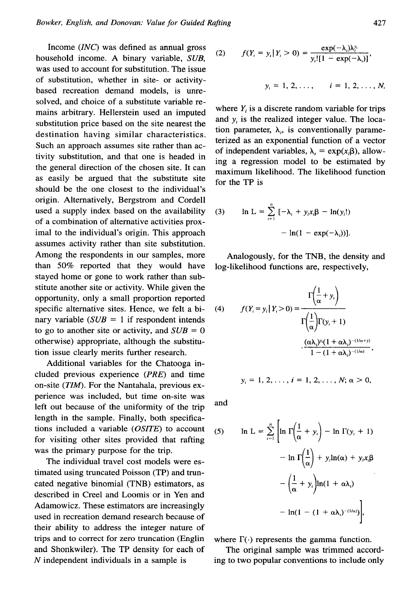Income  $(INC)$  was defined as annual gross household income. A binary variable, *SUB,* was used to account for substitution. The issue of substitution, whether in site- or activitybased recreation demand models, is unresolved, and choice of a substitute variable remains arbitrary. Hellerstein used an imputed substitution price based on the site nearest the destination having similar characteristics. Such an approach assumes site rather than activity substitution, and that one is headed in the general direction of the chosen site. It can as easily be argued that the substitute site should be the one closest to the individual's origin. Alternatively, Bergstrom and Cordell used a supply index based on the availability of a combination of alternative activities proximal to the individual's origin. This approach assumes activity rather than site substitution. Among the respondents in our samples, more than 50% reported that they would have stayed home or gone to work rather than substitute another site or activity. While given the opportunity, only a small proportion reported specific alternative sites. Hence, we felt a binary variable  $(SUB = 1$  if respondent intends to go to another site or activity, and  $SUB = 0$ otherwise) appropriate, although the substitution issue clearly merits further research.

Additional variables for the Chatooga included previous experience (PRE) and time on-site (TIM). For the Nantahala, previous experience was included, but time on-site was left out because of the uniformity of the trip length in the sample. Finally, both specifications included a variable  $(OSTTE)$  to account for visiting other sites provided that rafting was the primary purpose for the trip.

The individual travel cost models were estimated using truncated Poisson (TP) and truncated negative binomial (TNB) estimators, as described in Creel and Loomis or in Yen and Adamowicz. These estimators are increasingly used in recreation demand research because of their ability to address the integer nature of trips and to correct for zero truncation (Englin and Shonkwiler). The TP density for each of N independent individuals in a sample is

(2) 
$$
f(Y_i = y_i | Y_i > 0) = \frac{\exp(-\lambda_i)\lambda_i^{y_i}}{y_i! [1 - \exp(-\lambda_i)]},
$$

$$
y_i = 1, 2, ..., \quad i = 1, 2, ..., N,
$$

where  $Y_i$  is a discrete random variable for trips and  $y_i$  is the realized integer value. The location parameter,  $\lambda_{n}$ , is conventionally parameterized as an exponential function of a vector of independent variables,  $\lambda_i = \exp(x_i\beta)$ , allowing a regression model to be estimated by maximum likelihood. The likelihood function for the TP is

(3) 
$$
\ln L = \sum_{i=1}^{n} \left[ -\lambda_{i} + y_{i} x_{i} \beta - \ln(y_{i}!) - \ln(1 - \exp(-\lambda_{i})) \right].
$$

Analogously, for the TNB, the density and log-likelihood functions are, respectively,

(4) 
$$
f(Y_i = y_i | Y_i > 0) = \frac{\Gamma\left(\frac{1}{\alpha} + y_i\right)}{\Gamma\left(\frac{1}{\alpha}\right) \Gamma(y_i + 1)}
$$

$$
\cdot \frac{(\alpha \lambda_i)^{y_i} (1 + \alpha \lambda_i)^{-(1/\alpha + y)}}{1 - (1 + \alpha \lambda_i)^{-(1/\alpha)}},
$$

$$
y_i = 1, 2, \ldots, i = 1, 2, \ldots, N; \alpha > 0,
$$

and

(5) 
$$
\ln L = \sum_{i=1}^{n} \left[ \ln \Gamma \left( \frac{1}{\alpha} + y_{i} \right) - \ln \Gamma(y_{i} + 1) - \ln \Gamma \left( \frac{1}{\alpha} \right) + y_{i} \ln(\alpha) + y_{i} x_{i} \beta - \left( \frac{1}{\alpha} + y_{i} \right) \ln(1 + \alpha \lambda_{i}) - \ln(1 - (1 + \alpha \lambda_{i})^{-(1/\alpha)}) \right],
$$

where  $\Gamma(\cdot)$  represents the gamma function.

The original sample was trimmed according to two popular conventions to include only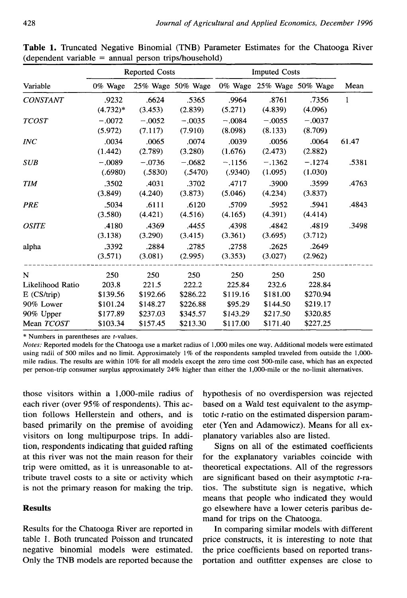| Variable                   | <b>Reported Costs</b>       |                             |                             | <b>Imputed Costs</b>        |                             |                             |       |
|----------------------------|-----------------------------|-----------------------------|-----------------------------|-----------------------------|-----------------------------|-----------------------------|-------|
|                            | 0% Wage                     |                             | 25% Wage 50% Wage           |                             | 0% Wage 25% Wage 50% Wage   |                             | Mean  |
| <b>CONSTANT</b>            | .9232                       | .6624                       | .5365                       | .9964                       | .8761                       | .7356                       | 1     |
| <b>TCOST</b>               | $(4.732)*$<br>$-.0072$      | (3.453)<br>$-.0052$         | (2.839)<br>$-.0035$         | (5.271)<br>$-.0084$         | (4.839)<br>$-.0055$         | (4.096)<br>$-.0037$         |       |
| INC                        | (5.972)<br>.0034<br>(1.442) | (7.117)<br>.0065<br>(2.789) | (7.910)<br>.0074<br>(3.280) | (8.098)<br>.0039<br>(1.676) | (8.133)<br>.0056<br>(2.473) | (8.709)<br>.0064<br>(2.882) | 61.47 |
| <b>SUB</b>                 | $-.0089$<br>(.6980)         | $-.0736$<br>(.5830)         | $-.0682$<br>(.5470)         | $-.1156$<br>(.9340)         | $-.1362$<br>(1.095)         | $-.1274$<br>(1.030)         | .5381 |
| <b>TIM</b>                 | .3502<br>(3.849)            | .4031<br>(4.240)            | .3702<br>(3.873)            | .4717<br>(5.046)            | .3900<br>(4.234)            | .3599<br>(3.837)            | .4763 |
| <b>PRE</b>                 | .5034<br>(3.580)            | .6111<br>(4.421)            | .6120<br>(4.516)            | .5709<br>(4.165)            | .5952<br>(4.391)            | .5941<br>(4.414)            | 4843  |
| <b>OSITE</b>               | .4180<br>(3.138)            | .4369<br>(3.290)            | .4455<br>(3.415)            | .4398<br>(3.361)            | .4842<br>(3.695)            | .4819<br>(3.712)            | .3498 |
| alpha                      | .3392<br>(3.571)            | .2884<br>(3.081)            | .2785<br>(2.995)            | .2758<br>(3.353)            | .2625<br>(3.027)            | .2649<br>(2.962)            |       |
| N                          | 250                         | 250                         | 250                         | 250                         | 250                         | 250                         |       |
| Likelihood Ratio           | 203.8                       | 221.5                       | 222.2                       | 225.84                      | 232.6                       | 228.84                      |       |
| $E$ (CS/trip)<br>90% Lower | \$139.56<br>\$101.24        | \$192.66<br>\$148.27        | \$286.22<br>\$226.88        | \$119.16<br>\$95.29         | \$181.00<br>\$144.50        | \$270.94<br>\$219.17        |       |
| 90% Upper<br>Mean TCOST    | \$177.89<br>\$103.34        | \$237.03<br>\$157.45        | \$345.57<br>\$213.30        | \$143.29<br>\$117.00        | \$217.50<br>\$171.40        | \$320.85<br>\$227.25        |       |

**Table 1.** Truncated Negative Binomial (TNB) Parameter Estimates for the Chatooga River  $(dependent variable = annual person trips/household)$ 

\* Numbers in parentheses are t-values.

Notes: Reported models for the Chatooga use a market radius of 1,000 miles one way. Additional models were estimated using radii of 500 miles and no limit. Approximately 1% of the respondents sampled traveled from outside the 1,000 mile radius. The results are within 10% for all models except the zero time cost 500-mile case, which has an expected per person-trip consumer surplus approximately 24% higher than either the 1,000-mile or the no-limit alternatives.

those visitors within a 1,000-mile radius of each river (over 95% of respondents). This action follows Hellerstein and others, and is based primarily on the premise of avoiding visitors on long multipurpose trips. In addition, respondents indicating that guided rafting at this river was not the main reason for their trip were omitted, as it is unreasonable to attribute travel costs to a site or activity which is not the primary reason for making the trip.

#### **Results**

Results for the Chatooga River are reported in table 1. Both truncated Poisson and truncated negative binomial models were estimated. Only the TNB models are reported because the

hypothesis of no overdispersion was rejected based on a Wald test equivalent to the asymptotic t-ratio on the estimated dispersion parameter (Yen and Adamowicz). Means for all explanatory variables also are listed.

Signs on all of the estimated coefficients for the explanatory variables coincide with theoretical expectations. All of the regressors are significant based on their asymptotic t-ratios. The substitute sign is negative, which means that people who indicated they would go elsewhere have a lower ceteris paribus demand for trips on the Chatooga.

In comparing similar models with different price constructs, it is interesting to note that the price coefficients based on reported transportation and outfitter expenses are close to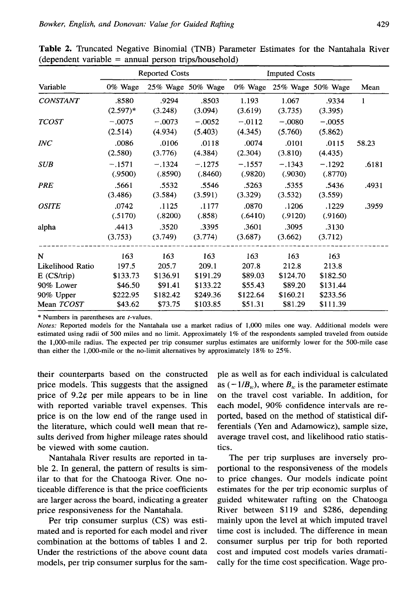|                  | <b>Reported Costs</b> |          |                   | <b>Imputed Costs</b> |                           |          |       |
|------------------|-----------------------|----------|-------------------|----------------------|---------------------------|----------|-------|
| Variable         | 0% Wage               |          | 25% Wage 50% Wage |                      | 0% Wage 25% Wage 50% Wage |          | Mean  |
| <b>CONSTANT</b>  | .8580                 | .9294    | .8503             | 1.193                | 1.067                     | .9334    | 1     |
|                  | $(2.597)*$            | (3.248)  | (3.094)           | (3.619)              | (3.735)                   | (3.395)  |       |
| <b>TCOST</b>     | $-.0075$              | $-.0073$ | $-.0052$          | $-.0112$             | $-.0080$                  | $-.0055$ |       |
|                  | (2.514)               | (4.934)  | (5.403)           | (4.345)              | (5.760)                   | (5.862)  |       |
| <b>INC</b>       | .0086                 | .0106    | .0118             | .0074                | .0101                     | .0115    | 58.23 |
|                  | (2.580)               | (3.776)  | (4.384)           | (2.304)              | (3.810)                   | (4.435)  |       |
| <b>SUB</b>       | $-.1571$              | $-.1324$ | $-.1275$          | $-.1557$             | $-.1343$                  | $-.1292$ | .6181 |
|                  | (.9500)               | (.8590)  | (.8460)           | (.9820)              | (.9030)                   | (.8770)  |       |
| <b>PRE</b>       | .5661                 | .5532    | .5546             | .5263                | .5355                     | .5436    | .4931 |
|                  | (3.486)               | (3.584)  | (3.591)           | (3.329)              | (3.532)                   | (3.559)  |       |
| <b>OSITE</b>     | .0742                 | .1125    | .1177             | .0870                | .1206                     | .1229    | .3959 |
|                  | (.5170)               | (.8200)  | (.858)            | (.6410)              | (.9120)                   | (.9160)  |       |
| alpha            | .4413                 | .3520    | .3395             | .3601                | .3095                     | .3130    |       |
|                  | (3.753)               | (3.749)  | (3.774)           | (3.687)              | (3.662)                   | (3.712)  |       |
| N                | 163                   | 163      | 163               | 163                  | 163                       | 163      |       |
| Likelihood Ratio | 197.5                 | 205.7    | 209.1             | 207.8                | 212.8                     | 213.8    |       |
| $E$ (CS/trip)    | \$133.73              | \$136.91 | \$191.29          | \$89.03              | \$124,70                  | \$182.50 |       |
| 90% Lower        | \$46.50               | \$91.41  | \$133.22          | \$55.43              | \$89,20                   | \$131.44 |       |
| 90% Upper        | \$222.95              | \$182.42 | \$249.36          | \$122.64             | \$160.21                  | \$233.56 |       |
| Mean TCOST       | \$43.62               | \$73.75  | \$103.85          | \$51.31              | \$81.29                   | \$111.39 |       |

**Table 2.** Truncated Negative Binomial (TNB) Parameter Estimates for the Nantahala River  $(dependent variable = annual person trips/household)$ 

\* Numbers in parentheses are t-values.

*Notes:* Reported models for the Nantahala use a market radius of 1,000 miles one way. Additional models were estimated using radii of 500 miles and no limit. Approximately 1% of the respondents sampled traveled from outside the 1,000-mile radius. The expected per trip consumer surplus estimates are uniformly lower for the 500-mile case than either the 1,000-mile or the no-limit alternatives by approximately 18% to  $25%$ .

their counterparts based on the constructed price models. This suggests that the assigned price of  $9.2¢$  per mile appears to be in line with reported variable travel expenses. This price is on the low end of the range used in the literature, which could well mean that results derived from higher mileage rates should be viewed with some caution.

Nantahala River results are reported in table 2, In general, the pattern of results is similar to that for the Chatooga River. One noticeable difference is that the price coefficients are larger across the board, indicating a greater price responsiveness for the Nantahala.

Per trip consumer surplus (CS) was estimated and is reported for each model and river combination at the bottoms of tables 1 and 2. Under the restrictions of the above count data models, per trip consumer surplus for the sample as well as for each individual is calculated as ( $-1/B_{tc}$ ), where  $B_{tc}$  is the parameter estimate on the travel cost variable. In addition, for each model, 90% confidence intervals are reported, based on the method of statistical differentials (Yen and Adamowicz), sample size, average travel cost, and likelihood ratio statistics.

The per trip surpluses are inversely proportional to the responsiveness of the models to price changes. Our models indicate point estimates for the per trip economic surplus of guided whitewater rafting on the Chatooga River between \$119 and \$286, depending mainly upon the level at which imputed travel time cost is included. The difference in mean consumer surplus per trip for both reported cost and imputed cost models varies dramatically for the time cost specification. Wage pro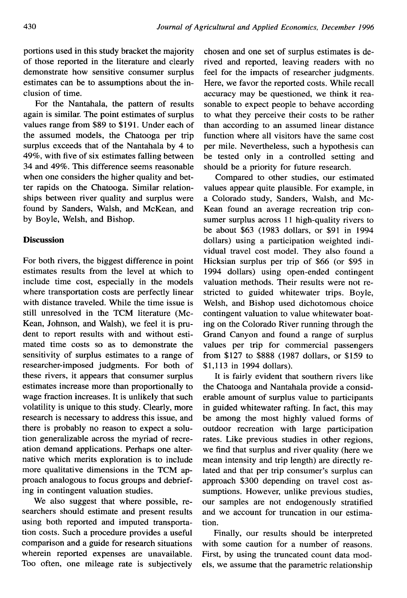portions used in this study bracket the majority of those reported in the literature and clearly demonstrate how sensitive consumer surplus estimates can be to assumptions about the inclusion of time.

For the Nantahala, the pattern of results again is similar. The point estimates of surplus values range from \$89 to \$191. Under each of the assumed models, the Chatooga per trip surplus exceeds that of the Nantahala by 4 to 49%, with five of six estimates falling between 34 and 49%. This difference seems reasonable when one considers the higher quality and better rapids on the Chatooga. Similar relationships between river quality and surplus were found by Sanders, Walsh, and McKean, and by Boyle, Welsh, and Bishop.

#### **Discussion**

For both rivers, the biggest difference in point estimates results from the level at which to include time cost, especially in the models where transportation costs are perfectly linear with distance traveled. While the time issue is still unresolved in the TCM literature (Mc-Kean, Johnson, and Walsh), we feel it is prudent to report results with and without estimated time costs so as to demonstrate the sensitivity of surplus estimates to a range of researcher-imposed judgments. For both of these rivers, it appears that consumer surplus estimates increase more than proportionally to wage fraction increases. It is unlikely that such volatility is unique to this study. Clearly, more research is necessary to address this issue, and there is probably no reason to expect a solution generalizable across the myriad of recreation demand applications. Perhaps one alternative which merits exploration is to include more qualitative dimensions in the TCM approach analogous to focus groups and debriefing in contingent valuation studies.

We also suggest that where possible, researchers should estimate and present results using both reported and imputed transportation costs. Such a procedure provides a useful comparison and a guide for research situations wherein reported expenses are unavailable. Too often, one mileage rate is subjectively chosen and one set of surplus estimates is derived and reported, leaving readers with no feel for the impacts of researcher judgments. Here, we favor the reported costs. While recall accuracy may be questioned, we think it reasonable to expect people to behave according to what they perceive their costs to be rather than according to an assumed linear distance function where all visitors have the same cost per mile. Nevertheless, such a hypothesis can be tested only in a controlled setting and should be a priority for future research.

Compared to other studies, our estimated values appear quite plausible. For example, in a Colorado study, Sanders, Walsh, and Mc-Kean found an average recreation trip consumer surplus across 11 high-quality rivers to be about \$63 (1983 dollars, or \$91 in 1994 dollars) using a participation weighted individual travel cost model. They also found a Hicksian surplus per trip of \$66 (or \$95 in 1994 dollars) using open-ended contingent valuation methods. Their results were not restricted to guided whitewater trips. Boyle, Welsh, and Bishop used dichotomous choice contingent valuation to value whitewater boating on the Colorado River running through the Grand Canyon and found a range of surplus values per trip for commercial passengers from \$127 to \$888 (1987 dollars, or \$159 to \$1,113 in 1994 dollars).

It is fairly evident that southern rivers like the Chatooga and Nantahala provide a considerable amount of surplus value to participants in guided whitewater rafting. In fact, this may be among the most highly valued forms of outdoor recreation with large participation rates. Like previous studies in other regions, we find that surplus and river quality (here we mean intensity and trip length) are directly related and that per trip consumer's surplus can approach \$300 depending on travel cost assumptions. However, unlike previous studies, our samples are not endogenously stratified and we account for truncation in our estimation.

Finally, our results should be interpreted with some caution for a number of reasons. First, by using the truncated count data models, we assume that the parametric relationship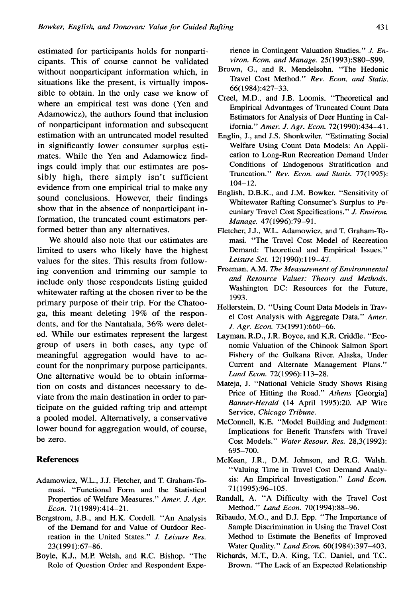estimated for participants holds for nonparticipants. This of course cannot be validated without nonparticipant information which, in situations like the present, is virtually impossible to obtain. In the only case we know of where an empirical test was done (Yen and Adamowicz), the authors found that inclusion of nonparticipant information and subsequent estimation with an untruncated model resulted in significantly lower consumer surplus estimates. While the Yen and Adamowicz findings could imply that our estimates are possibly high, there simply isn't sufficient evidence from one empirical trial to make any sound conclusions. However, their findings show that in the absence of nonparticipant information, the truncated count estimators performed better than any alternatives.

We should also note that our estimates are limited to users who likely have the highest values for the sites. This results from following convention and trimming our sample to include only those respondents listing guided whitewater rafting at the chosen river to be the primary purpose of their trip. For the Chatooga, this meant deleting 19% of the respondents, and for the Nantahala, 36% were deleted. While our estimates represent the largest group of users in both cases, any type of meaningful aggregation would have to account for the nonprimary purpose participants. One alternative would be to obtain information on costs and distances necessary to deviate from the main destination in order to participate on the guided rafting trip and attempt a pooled model. Alternatively, a conservative lower bound for aggregation would, of course, be zero.

#### **References**

- Adamowicz, W.L., J.J. Fletcher, and T, Graham-Tomasi. "Functional Form and the Statistical Properties of Welfare Measures. " *Amer. J. Agr. Econ. 71(* 1989):414–21,
- Bergstrom, J.B., and H.K. Cordell. "An Analysis of the Demand for and Value of Outdoor Recreation in the United States." J. Leisure Res. 23(1991):67-86.
- Boyle, K.J., M.P. Welsh, and R.C. Bishop. "The Role of Question Order and Respondent Expe-

rience in Contingent Valuation Studies. " *J. Environ. Econ. and Manage. 25(* 1993):S80–S99.

- Brown, G., and R. Mendelsohn. "The Hedonic Travel Cost Method. " *Rev. Econ. and Statis. 66(1984):427-33.*
- Creel, M.D., and J.B. Loomis. "Theoretical and Empirical Advantages of Tiuncated Count Data Estimators for Analysis of Deer Hunting in California." *Amer. J, Agr. Econ. 72(* 1990):434–41.
- Englin, J., and J.S. Shonkwiler. "Estimating Social Welfare Using Count Data Models: An Application to Long-Run Recreation Demand Under Conditions of Endogenous Stratification and Truncation." *Rev. Econ. and Statis. 77(1995): 104–12,*
- English, D.B.K., and J.M. Bowker. "Sensitivity of Whitewater Rafting Consumer's Surplus to Pecuniary Travel Cost Specifications. " *J. Environ. Manage. 47(1996):79–91.*
- Fletcher, J.J., W.L. Adamowicz, and T. Graham-Tomasi. "The Travel Cost Model of Recreation Demand: Theoretical and Empirical Issues." *Leisure Sci. 12(1990):* 119–47.
- Freeman, A.M. *The Measurement of Environmental and Resource Values: Theory and Methods.* Washington DC: Resources for the Future, 1993.
- Hellerstein, D. "Using Count Data Models in Travel Cost Analysis with Aggregate Data. " *Amer. J, Agr. Econ. 73(1991):660–66.*
- Layman, R.D., J.R. Boyce, and K.R. Criddle. "Economic Valuation of the Chinook Salmon Sport Fishery of the Gulkana River, Alaska, Under Current and Alternate Management Plans. " *Land Econ. 72(1996):* 113–28.
- Mateja, J. "National Vehicle Study Shows Rising Price of Hitting the Road." *Athens* [Georgia] *Banner-Herald (14* April 1995):20. AP Wire Service, *Chicago Tribune.*
- McConnell, K.E. "Model Building and Judgment: Implications for Benefit Transfers with Travel Cost Models." *Water Resour. Res. 28,3(1992): 695–700.*
- McKean, J.R., D.M. Johnson, and R.G. Walsh. "Valuing Time in Travel Cost Demand Analysis: An Empirical Investigation." Land Econ. 71(1995):96-105.
- Randall, A. "A Difficulty with the Travel Cost Method." *Land Econ. 70(1994):88–96.*
- Ribaudo, M.O., and D.J. Epp. "The Importance of Sample Discrimination in Using the Travel Cost Method to Estimate the Benefits of Improved Water Quality." *Land Econ. 60(1984):397–403.*
- Richards, M.T., D.A. King, T.C. Daniel, and T.C. Brown. "The Lack of an Expected Relationship